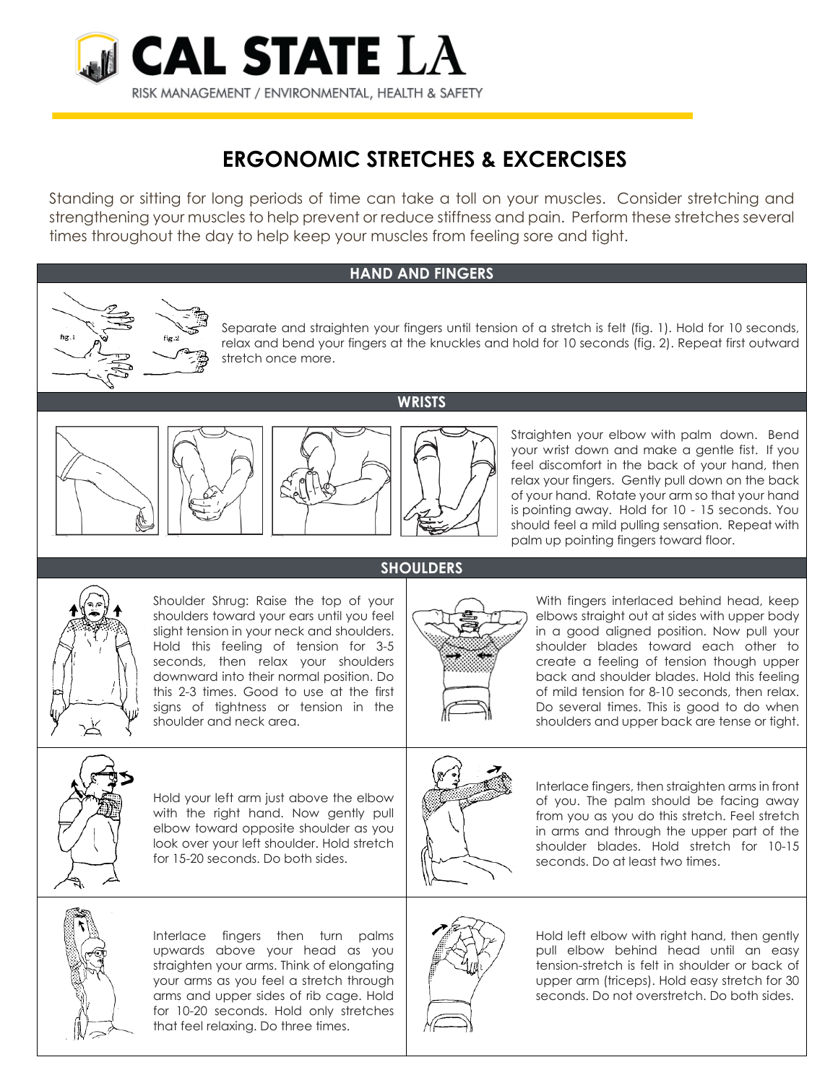

## **ERGONOMIC STRETCHES & EXCERCISES**

Standing or sitting for long periods of time can take a toll on your muscles. Consider stretching and strengthening your muscles to help prevent or reduce stiffness and pain. Perform these stretches several times throughout the day to help keep your muscles from feeling sore and tight.

## **HAND AND FINGERS**

**WRISTS**

Separate and straighten your fingers until tension of a stretch is felt (fig. 1). Hold for 10 seconds, relax and bend your fingers at the knuckles and hold for 10 seconds (fig. 2). Repeat first outward stretch once more.







Straighten your elbow with palm down. Bend your wrist down and make a gentle fist. If you feel discomfort in the back of your hand, then relax your fingers. Gently pull down on the back of your hand. Rotate your arm so that your hand is pointing away. Hold for 10 - 15 seconds. You should feel a mild pulling sensation. Repeat with palm up pointing fingers toward floor.



Shoulder Shrug: Raise the top of your shoulders toward your ears until you feel slight tension in your neck and shoulders. Hold this feeling of tension for 3-5 seconds, then relax your shoulders downward into their normal position. Do this 2-3 times. Good to use at the first signs of tightness or tension in the shoulder and neck area.

## **SHOULDERS**



With fingers interlaced behind head, keep elbows straight out at sides with upper body in a good aligned position. Now pull your shoulder blades toward each other to create a feeling of tension though upper back and shoulder blades. Hold this feeling of mild tension for 8-10 seconds, then relax. Do several times. This is good to do when shoulders and upper back are tense or tight.



Hold your left arm just above the elbow with the right hand. Now gently pull elbow toward opposite shoulder as you look over your left shoulder. Hold stretch for 15-20 seconds. Do both sides.



Interlace fingers, then straighten arms in front of you. The palm should be facing away from you as you do this stretch. Feel stretch in arms and through the upper part of the shoulder blades. Hold stretch for 10-15 seconds. Do at least two times.



Interlace fingers then turn palms upwards above your head as you straighten your arms. Think of elongating your arms as you feel a stretch through arms and upper sides of rib cage. Hold for 10-20 seconds. Hold only stretches that feel relaxing. Do three times.



Hold left elbow with right hand, then gently pull elbow behind head until an easy tension-stretch is felt in shoulder or back of upper arm (triceps). Hold easy stretch for 30 seconds. Do not overstretch. Do both sides.